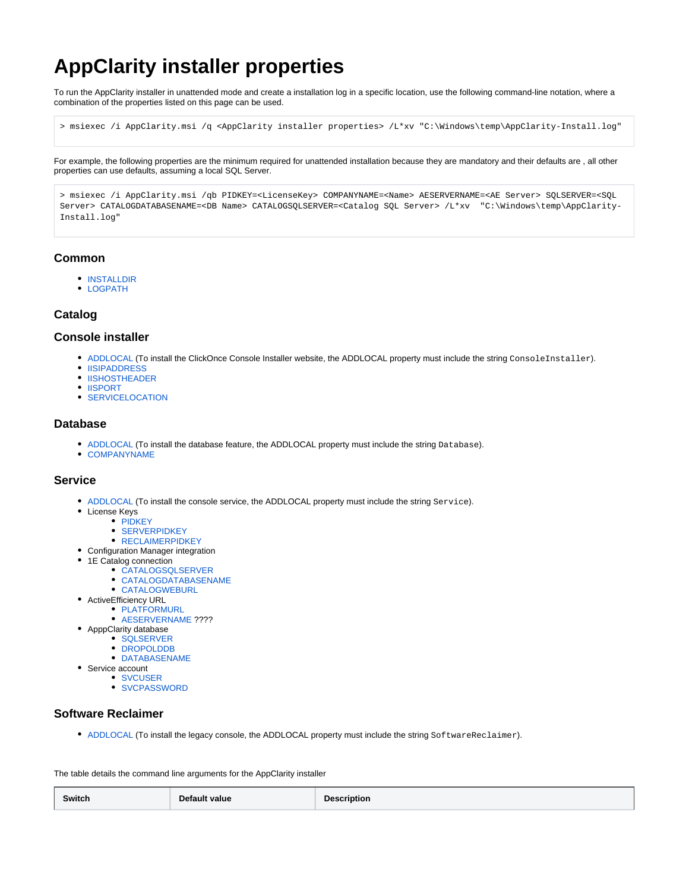# **AppClarity installer properties**

To run the AppClarity installer in unattended mode and create a installation log in a specific location, use the following command-line notation, where a combination of the properties listed on this page can be used.

> msiexec /i AppClarity.msi /q <AppClarity installer properties> /L\*xv "C:\Windows\temp\AppClarity-Install.log"

For example, the following properties are the minimum required for unattended installation because they are mandatory and their defaults are , all other properties can use defaults, assuming a local SQL Server.

> msiexec /i AppClarity.msi /qb PIDKEY=<LicenseKey> COMPANYNAME=<Name> AESERVERNAME=<AE Server> SQLSERVER=<SQL Server> CATALOGDATABASENAME=<DB Name> CATALOGSQLSERVER=<Catalog SQL Server> /L\*xv "C:\Windows\temp\AppClarity-Install.log"

### **Common**

- **[INSTALLDIR](#page-1-0)**
- [LOGPATH](#page-1-1)

## **Catalog**

#### **Console installer**

- [ADDLOCAL](#page-1-2) (To install the ClickOnce Console Installer website, the ADDLOCAL property must include the string ConsoleInstaller).
- **[IISIPADDRESS](#page-1-3)**
- **[IISHOSTHEADER](#page-1-4)**
- [IISPORT](#page-1-3)
- **[SERVICELOCATION](#page-2-0)**

#### **Database**

- [ADDLOCAL](#page-1-2) (To install the database feature, the ADDLOCAL property must include the string Database).
- [COMPANYNAME](#page-1-5)

#### **Service**

- [ADDLOCAL](#page-1-2) (To install the console service, the ADDLOCAL property must include the string Service).
- $\bullet$  License Keys
	- [PIDKEY](#page-1-6)
	- **[SERVERPIDKEY](#page-2-1)**
	- **[RECLAIMERPIDKEY](#page-2-2)**
- Configuration Manager integration
- 1E Catalog connection
	- [CATALOGSQLSERVER](#page-1-7)
	- [CATALOGDATABASENAME](#page-1-8)
	- [CATALOGWEBURL](#page-1-9)
- ActiveEfficiency URL **• [PLATFORMURL](#page-1-10)** 
	- [AESERVERNAME](#page-1-11) ????
- ApppClarity database
	- [SQLSERVER](#page-2-3)
	- [DROPOLDDB](#page-1-12)
	- [DATABASENAME](#page-1-13)
- Service account
	- [SVCUSER](#page-2-4)
		- [SVCPASSWORD](#page-2-5)

## **Software Reclaimer**

• [ADDLOCAL](#page-1-2) (To install the legacy console, the ADDLOCAL property must include the string SoftwareReclaimer).

The table details the command line arguments for the AppClarity installer

| Default value | <b>Description</b> |
|---------------|--------------------|
| Switch        |                    |
|               | ___                |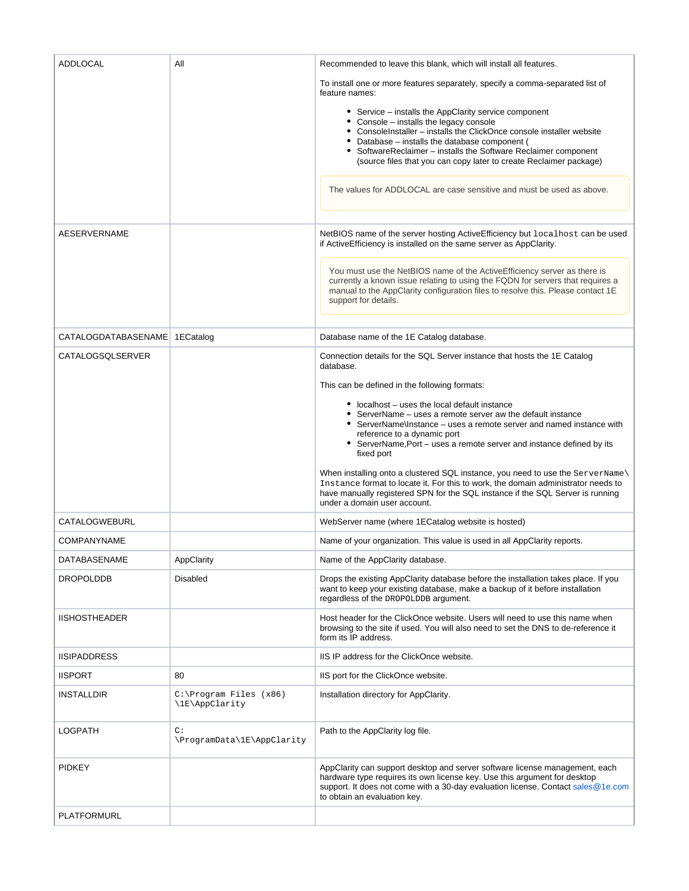<span id="page-1-13"></span><span id="page-1-12"></span><span id="page-1-11"></span><span id="page-1-10"></span><span id="page-1-9"></span><span id="page-1-8"></span><span id="page-1-7"></span><span id="page-1-6"></span><span id="page-1-5"></span><span id="page-1-4"></span><span id="page-1-3"></span><span id="page-1-2"></span><span id="page-1-1"></span><span id="page-1-0"></span>

| <b>ADDLOCAL</b>                 | All                                         | Recommended to leave this blank, which will install all features.                                                                                                                                                                                                                                                                                                    |
|---------------------------------|---------------------------------------------|----------------------------------------------------------------------------------------------------------------------------------------------------------------------------------------------------------------------------------------------------------------------------------------------------------------------------------------------------------------------|
|                                 |                                             | To install one or more features separately, specify a comma-separated list of<br>feature names:                                                                                                                                                                                                                                                                      |
|                                 |                                             | • Service – installs the AppClarity service component<br>• Console - installs the legacy console<br>• ConsoleInstaller – installs the ClickOnce console installer website<br>• Database – installs the database component (<br>• SoftwareReclaimer - installs the Software Reclaimer component<br>(source files that you can copy later to create Reclaimer package) |
|                                 |                                             | The values for ADDLOCAL are case sensitive and must be used as above.                                                                                                                                                                                                                                                                                                |
| <b>AESERVERNAME</b>             |                                             | NetBIOS name of the server hosting ActiveEfficiency but localhost can be used<br>if ActiveEfficiency is installed on the same server as AppClarity.                                                                                                                                                                                                                  |
|                                 |                                             | You must use the NetBIOS name of the ActiveEfficiency server as there is<br>currently a known issue relating to using the FQDN for servers that requires a<br>manual to the AppClarity configuration files to resolve this. Please contact 1E<br>support for details.                                                                                                |
| CATALOGDATABASENAME   1ECatalog |                                             | Database name of the 1E Catalog database.                                                                                                                                                                                                                                                                                                                            |
| CATALOGSQLSERVER                |                                             | Connection details for the SQL Server instance that hosts the 1E Catalog<br>database.                                                                                                                                                                                                                                                                                |
|                                 |                                             | This can be defined in the following formats:                                                                                                                                                                                                                                                                                                                        |
|                                 |                                             | • localhost – uses the local default instance<br>• ServerName – uses a remote server aw the default instance<br>• ServerName\Instance – uses a remote server and named instance with<br>reference to a dynamic port<br>• ServerName, Port - uses a remote server and instance defined by its<br>fixed port                                                           |
|                                 |                                             | When installing onto a clustered SQL instance, you need to use the ServerName\<br>Instance format to locate it. For this to work, the domain administrator needs to<br>have manually registered SPN for the SQL instance if the SQL Server is running<br>under a domain user account.                                                                                |
| <b>CATALOGWEBURL</b>            |                                             | WebServer name (where 1ECatalog website is hosted)                                                                                                                                                                                                                                                                                                                   |
| <b>COMPANYNAME</b>              |                                             | Name of your organization. This value is used in all AppClarity reports.                                                                                                                                                                                                                                                                                             |
| DATABASENAME                    | AppClarity                                  | Name of the AppClarity database.                                                                                                                                                                                                                                                                                                                                     |
| <b>DROPOLDDB</b>                | <b>Disabled</b>                             | Drops the existing AppClarity database before the installation takes place. If you<br>want to keep your existing database, make a backup of it before installation<br>regardless of the DROPOLDDB argument.                                                                                                                                                          |
| <b>IISHOSTHEADER</b>            |                                             | Host header for the ClickOnce website. Users will need to use this name when<br>browsing to the site if used. You will also need to set the DNS to de-reference it<br>form its IP address.                                                                                                                                                                           |
| <b>IISIPADDRESS</b>             |                                             | IIS IP address for the ClickOnce website.                                                                                                                                                                                                                                                                                                                            |
| <b>IISPORT</b>                  | 80                                          | IIS port for the ClickOnce website.                                                                                                                                                                                                                                                                                                                                  |
| <b>INSTALLDIR</b>               | $C:\P$ rogram Files (x86)<br>\1E\AppClarity | Installation directory for AppClarity.                                                                                                                                                                                                                                                                                                                               |
| <b>LOGPATH</b>                  | C:<br>\ProgramData\1E\AppClarity            | Path to the AppClarity log file.                                                                                                                                                                                                                                                                                                                                     |
| <b>PIDKEY</b>                   |                                             | AppClarity can support desktop and server software license management, each<br>hardware type requires its own license key. Use this argument for desktop<br>support. It does not come with a 30-day evaluation license. Contact sales@1e.com<br>to obtain an evaluation key.                                                                                         |
| PLATFORMURL                     |                                             |                                                                                                                                                                                                                                                                                                                                                                      |